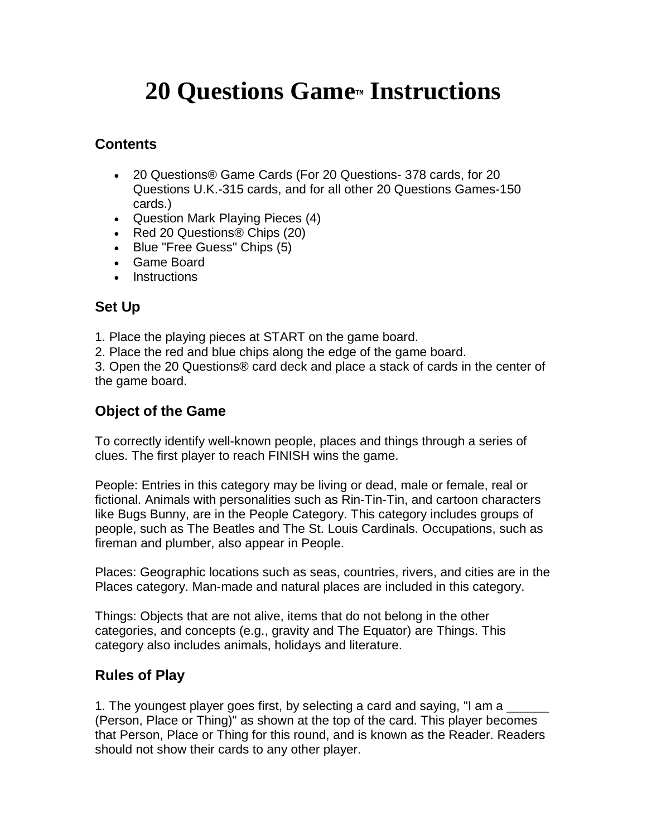# **20 Questions Game<sup>***I***M</sup> Instructions**

### **Contents**

- 20 Questions® Game Cards (For 20 Questions- 378 cards, for 20 Questions U.K.-315 cards, and for all other 20 Questions Games-150 cards.)
- Question Mark Playing Pieces (4)
- Red 20 Questions<sup>®</sup> Chips (20)
- Blue "Free Guess" Chips (5)
- Game Board
- Instructions

#### **Set Up**

1. Place the playing pieces at START on the game board.

2. Place the red and blue chips along the edge of the game board.

3. Open the 20 Questions® card deck and place a stack of cards in the center of the game board.

#### **Object of the Game**

To correctly identify well-known people, places and things through a series of clues. The first player to reach FINISH wins the game.

People: Entries in this category may be living or dead, male or female, real or fictional. Animals with personalities such as Rin-Tin-Tin, and cartoon characters like Bugs Bunny, are in the People Category. This category includes groups of people, such as The Beatles and The St. Louis Cardinals. Occupations, such as fireman and plumber, also appear in People.

Places: Geographic locations such as seas, countries, rivers, and cities are in the Places category. Man-made and natural places are included in this category.

Things: Objects that are not alive, items that do not belong in the other categories, and concepts (e.g., gravity and The Equator) are Things. This category also includes animals, holidays and literature.

## **Rules of Play**

1. The youngest player goes first, by selecting a card and saying, "I am a (Person, Place or Thing)" as shown at the top of the card. This player becomes that Person, Place or Thing for this round, and is known as the Reader. Readers should not show their cards to any other player.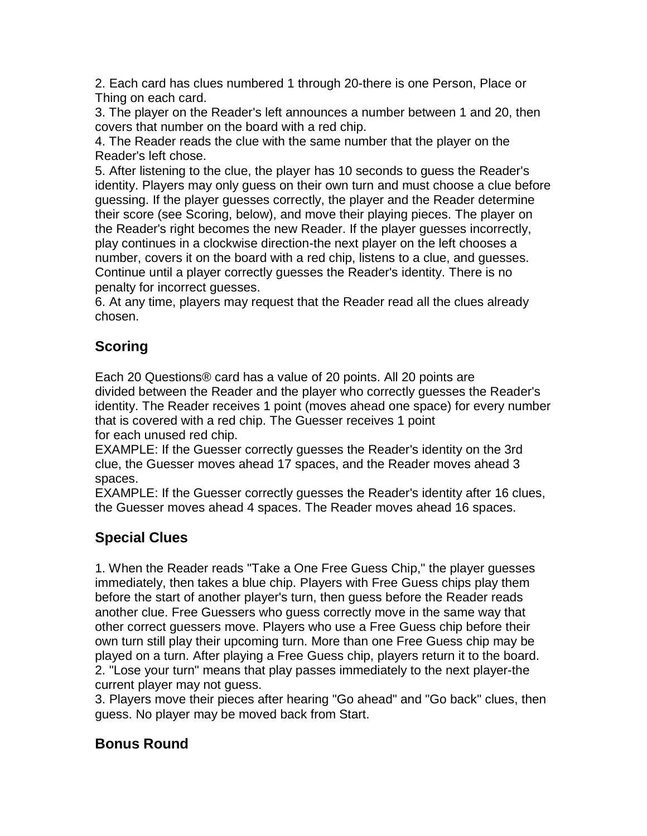2. Each card has clues numbered 1 through 20-there is one Person, Place or Thing on each card.

3. The player on the Reader's left announces a number between 1 and 20, then covers that number on the board with a red chip.

4. The Reader reads the clue with the same number that the player on the Reader's left chose.

5. After listening to the clue, the player has 10 seconds to guess the Reader's identity. Players may only guess on their own turn and must choose a clue before guessing. If the player guesses correctly, the player and the Reader determine their score (see Scoring, below), and move their playing pieces. The player on the Reader's right becomes the new Reader. If the player guesses incorrectly, play continues in a clockwise direction-the next player on the left chooses a number, covers it on the board with a red chip, listens to a clue, and guesses. Continue until a player correctly guesses the Reader's identity. There is no penalty for incorrect guesses.

6. At any time, players may request that the Reader read all the clues already chosen.

# **Scoring**

Each 20 Questions® card has a value of 20 points. All 20 points are divided between the Reader and the player who correctly guesses the Reader's identity. The Reader receives 1 point (moves ahead one space) for every number that is covered with a red chip. The Guesser receives 1 point for each unused red chip.

EXAMPLE: If the Guesser correctly guesses the Reader's identity on the 3rd clue, the Guesser moves ahead 17 spaces, and the Reader moves ahead 3 spaces.

EXAMPLE: If the Guesser correctly guesses the Reader's identity after 16 clues, the Guesser moves ahead 4 spaces. The Reader moves ahead 16 spaces.

## **Special Clues**

1. When the Reader reads "Take a One Free Guess Chip," the player guesses immediately, then takes a blue chip. Players with Free Guess chips play them before the start of another player's turn, then guess before the Reader reads another clue. Free Guessers who guess correctly move in the same way that other correct guessers move. Players who use a Free Guess chip before their own turn still play their upcoming turn. More than one Free Guess chip may be played on a turn. After playing a Free Guess chip, players return it to the board. 2. "Lose your turn" means that play passes immediately to the next player-the current player may not guess.

3. Players move their pieces after hearing "Go ahead" and "Go back" clues, then guess. No player may be moved back from Start.

## **Bonus Round**